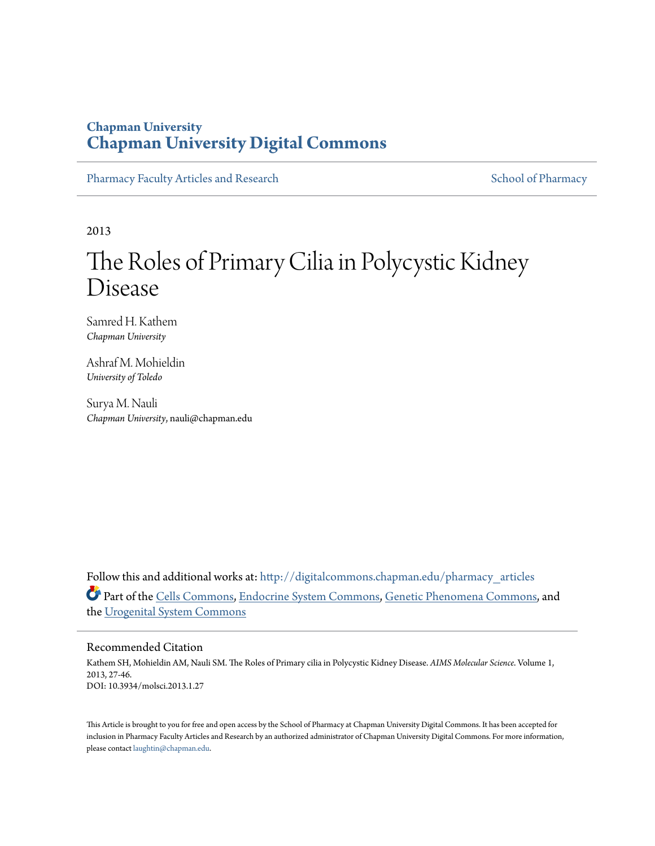### **Chapman University [Chapman University Digital Commons](http://digitalcommons.chapman.edu?utm_source=digitalcommons.chapman.edu%2Fpharmacy_articles%2F17&utm_medium=PDF&utm_campaign=PDFCoverPages)**

[Pharmacy Faculty Articles and Research](http://digitalcommons.chapman.edu/pharmacy_articles?utm_source=digitalcommons.chapman.edu%2Fpharmacy_articles%2F17&utm_medium=PDF&utm_campaign=PDFCoverPages) [School of Pharmacy](http://digitalcommons.chapman.edu/cusp?utm_source=digitalcommons.chapman.edu%2Fpharmacy_articles%2F17&utm_medium=PDF&utm_campaign=PDFCoverPages)

2013

# The Roles of Primary Cilia in Polycystic Kidney Disease

Samred H. Kathem *Chapman University*

Ashraf M. Mohieldin *University of Toledo*

Surya M. Nauli *Chapman University*, nauli@chapman.edu

Follow this and additional works at: [http://digitalcommons.chapman.edu/pharmacy\\_articles](http://digitalcommons.chapman.edu/pharmacy_articles?utm_source=digitalcommons.chapman.edu%2Fpharmacy_articles%2F17&utm_medium=PDF&utm_campaign=PDFCoverPages) Part of the [Cells Commons,](http://network.bepress.com/hgg/discipline/940?utm_source=digitalcommons.chapman.edu%2Fpharmacy_articles%2F17&utm_medium=PDF&utm_campaign=PDFCoverPages) [Endocrine System Commons](http://network.bepress.com/hgg/discipline/973?utm_source=digitalcommons.chapman.edu%2Fpharmacy_articles%2F17&utm_medium=PDF&utm_campaign=PDFCoverPages), [Genetic Phenomena Commons](http://network.bepress.com/hgg/discipline/934?utm_source=digitalcommons.chapman.edu%2Fpharmacy_articles%2F17&utm_medium=PDF&utm_campaign=PDFCoverPages), and the [Urogenital System Commons](http://network.bepress.com/hgg/discipline/1000?utm_source=digitalcommons.chapman.edu%2Fpharmacy_articles%2F17&utm_medium=PDF&utm_campaign=PDFCoverPages)

#### Recommended Citation

Kathem SH, Mohieldin AM, Nauli SM. The Roles of Primary cilia in Polycystic Kidney Disease. *AIMS Molecular Science*. Volume 1, 2013, 27-46. DOI: 10.3934/molsci.2013.1.27

This Article is brought to you for free and open access by the School of Pharmacy at Chapman University Digital Commons. It has been accepted for inclusion in Pharmacy Faculty Articles and Research by an authorized administrator of Chapman University Digital Commons. For more information, please contact [laughtin@chapman.edu.](mailto:laughtin@chapman.edu)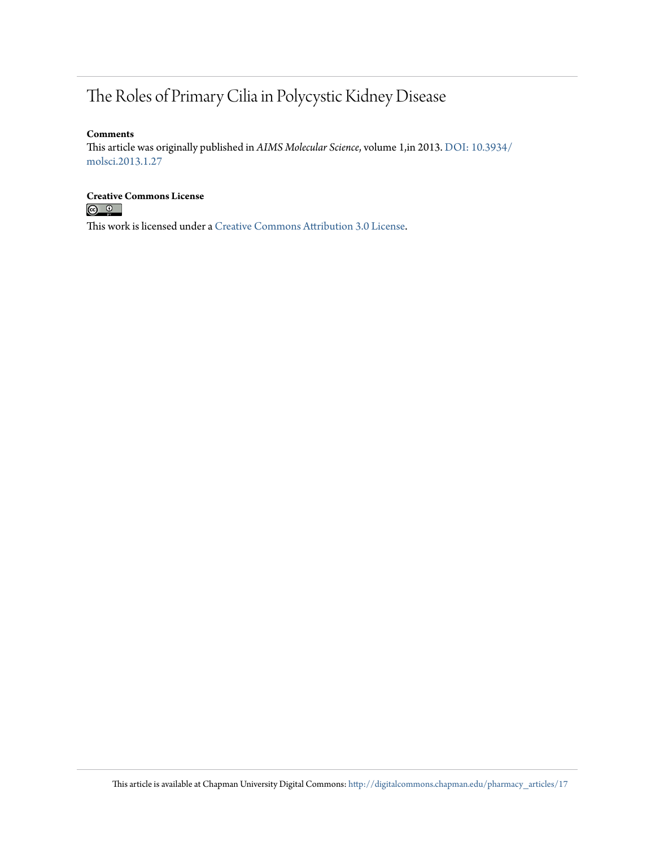## The Roles of Primary Cilia in Polycystic Kidney Disease

#### **Comments**

This article was originally published in *AIMS Molecular Science*, volume 1,in 2013. [DOI: 10.3934/](http://dx.doi.org/10.3934/molsci.2013.1.27) [molsci.2013.1.27](http://dx.doi.org/10.3934/molsci.2013.1.27)

## **Creative Commons License**<br> **C Q Q**

This work is licensed under a [Creative Commons Attribution 3.0 License.](http://creativecommons.org/licenses/by/3.0/)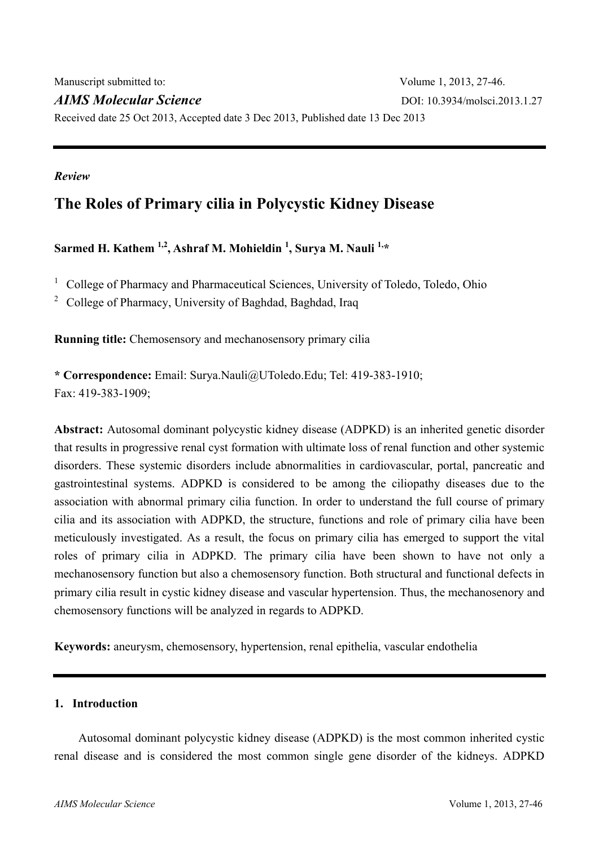*Review* 

### **The Roles of Primary cilia in Polycystic Kidney Disease**

Sarmed H. Kathem <sup>1,2</sup>, Ashraf M. Mohieldin <sup>1</sup>, Surya M. Nauli <sup>1,\*</sup>

<sup>1</sup> College of Pharmacy and Pharmaceutical Sciences, University of Toledo, Toledo, Ohio

<sup>2</sup> College of Pharmacy, University of Baghdad, Baghdad, Iraq

**Running title:** Chemosensory and mechanosensory primary cilia

**\* Correspondence:** Email: Surya.Nauli@UToledo.Edu; Tel: 419-383-1910; Fax: 419-383-1909;

**Abstract:** Autosomal dominant polycystic kidney disease (ADPKD) is an inherited genetic disorder that results in progressive renal cyst formation with ultimate loss of renal function and other systemic disorders. These systemic disorders include abnormalities in cardiovascular, portal, pancreatic and gastrointestinal systems. ADPKD is considered to be among the ciliopathy diseases due to the association with abnormal primary cilia function. In order to understand the full course of primary cilia and its association with ADPKD, the structure, functions and role of primary cilia have been meticulously investigated. As a result, the focus on primary cilia has emerged to support the vital roles of primary cilia in ADPKD. The primary cilia have been shown to have not only a mechanosensory function but also a chemosensory function. Both structural and functional defects in primary cilia result in cystic kidney disease and vascular hypertension. Thus, the mechanosenory and chemosensory functions will be analyzed in regards to ADPKD.

**Keywords:** aneurysm, chemosensory, hypertension, renal epithelia, vascular endothelia

#### **1. Introduction**

Autosomal dominant polycystic kidney disease (ADPKD) is the most common inherited cystic renal disease and is considered the most common single gene disorder of the kidneys. ADPKD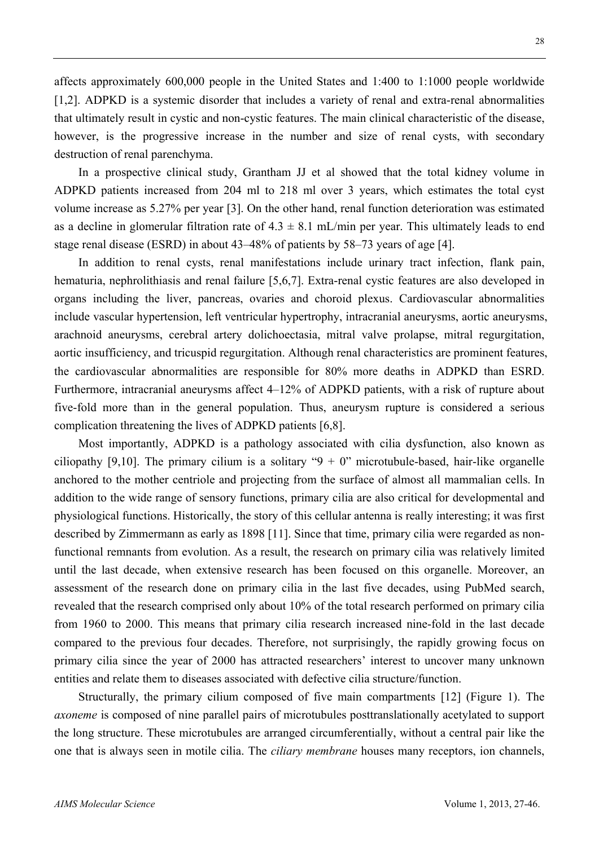affects approximately 600,000 people in the United States and 1:400 to 1:1000 people worldwide [1,2]. ADPKD is a systemic disorder that includes a variety of renal and extra-renal abnormalities that ultimately result in cystic and non-cystic features. The main clinical characteristic of the disease, however, is the progressive increase in the number and size of renal cysts, with secondary destruction of renal parenchyma.

In a prospective clinical study, Grantham JJ et al showed that the total kidney volume in ADPKD patients increased from 204 ml to 218 ml over 3 years, which estimates the total cyst volume increase as 5.27% per year [3]. On the other hand, renal function deterioration was estimated as a decline in glomerular filtration rate of  $4.3 \pm 8.1$  mL/min per year. This ultimately leads to end stage renal disease (ESRD) in about 43–48% of patients by 58–73 years of age [4].

In addition to renal cysts, renal manifestations include urinary tract infection, flank pain, hematuria, nephrolithiasis and renal failure [5,6,7]. Extra-renal cystic features are also developed in organs including the liver, pancreas, ovaries and choroid plexus. Cardiovascular abnormalities include vascular hypertension, left ventricular hypertrophy, intracranial aneurysms, aortic aneurysms, arachnoid aneurysms, cerebral artery dolichoectasia, mitral valve prolapse, mitral regurgitation, aortic insufficiency, and tricuspid regurgitation. Although renal characteristics are prominent features, the cardiovascular abnormalities are responsible for 80% more deaths in ADPKD than ESRD. Furthermore, intracranial aneurysms affect 4–12% of ADPKD patients, with a risk of rupture about five-fold more than in the general population. Thus, aneurysm rupture is considered a serious complication threatening the lives of ADPKD patients [6,8].

Most importantly, ADPKD is a pathology associated with cilia dysfunction, also known as ciliopathy [9,10]. The primary cilium is a solitary " $9 + 0$ " microtubule-based, hair-like organelle anchored to the mother centriole and projecting from the surface of almost all mammalian cells. In addition to the wide range of sensory functions, primary cilia are also critical for developmental and physiological functions. Historically, the story of this cellular antenna is really interesting; it was first described by Zimmermann as early as 1898 [11]. Since that time, primary cilia were regarded as nonfunctional remnants from evolution. As a result, the research on primary cilia was relatively limited until the last decade, when extensive research has been focused on this organelle. Moreover, an assessment of the research done on primary cilia in the last five decades, using PubMed search, revealed that the research comprised only about 10% of the total research performed on primary cilia from 1960 to 2000. This means that primary cilia research increased nine-fold in the last decade compared to the previous four decades. Therefore, not surprisingly, the rapidly growing focus on primary cilia since the year of 2000 has attracted researchers' interest to uncover many unknown entities and relate them to diseases associated with defective cilia structure/function.

Structurally, the primary cilium composed of five main compartments [12] (Figure 1). The *axoneme* is composed of nine parallel pairs of microtubules posttranslationally acetylated to support the long structure. These microtubules are arranged circumferentially, without a central pair like the one that is always seen in motile cilia. The *ciliary membrane* houses many receptors, ion channels,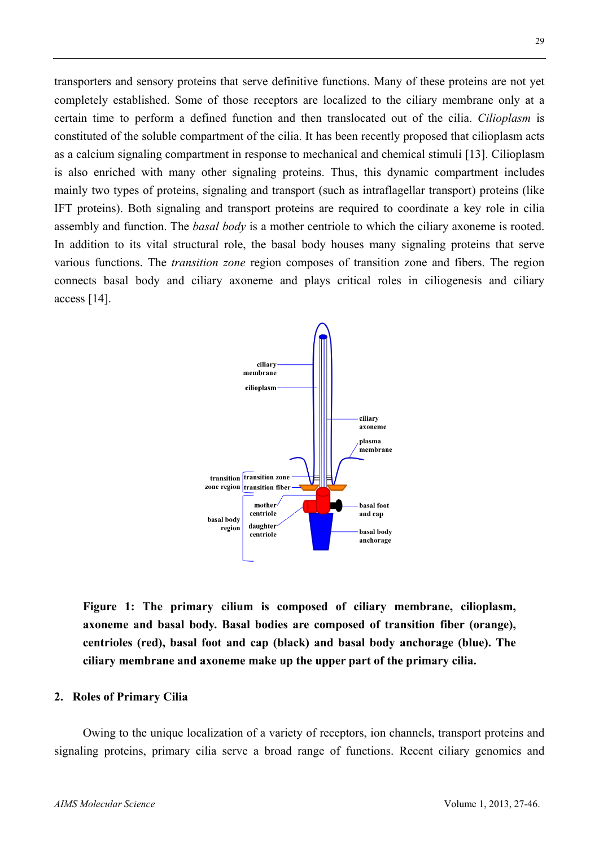transporters and sensory proteins that serve definitive functions. Many of these proteins are not yet completely established. Some of those receptors are localized to the ciliary membrane only at a certain time to perform a defined function and then translocated out of the cilia. *Cilioplasm* is constituted of the soluble compartment of the cilia. It has been recently proposed that cilioplasm acts as a calcium signaling compartment in response to mechanical and chemical stimuli [13]. Cilioplasm is also enriched with many other signaling proteins. Thus, this dynamic compartment includes mainly two types of proteins, signaling and transport (such as intraflagellar transport) proteins (like IFT proteins). Both signaling and transport proteins are required to coordinate a key role in cilia assembly and function. The *basal body* is a mother centriole to which the ciliary axoneme is rooted. In addition to its vital structural role, the basal body houses many signaling proteins that serve various functions. The *transition zone* region composes of transition zone and fibers. The region connects basal body and ciliary axoneme and plays critical roles in ciliogenesis and ciliary access [14].



**Figure 1: The primary cilium is composed of ciliary membrane, cilioplasm, axoneme and basal body. Basal bodies are composed of transition fiber (orange), centrioles (red), basal foot and cap (black) and basal body anchorage (blue). The ciliary membrane and axoneme make up the upper part of the primary cilia.** 

#### **2. Roles of Primary Cilia**

Owing to the unique localization of a variety of receptors, ion channels, transport proteins and signaling proteins, primary cilia serve a broad range of functions. Recent ciliary genomics and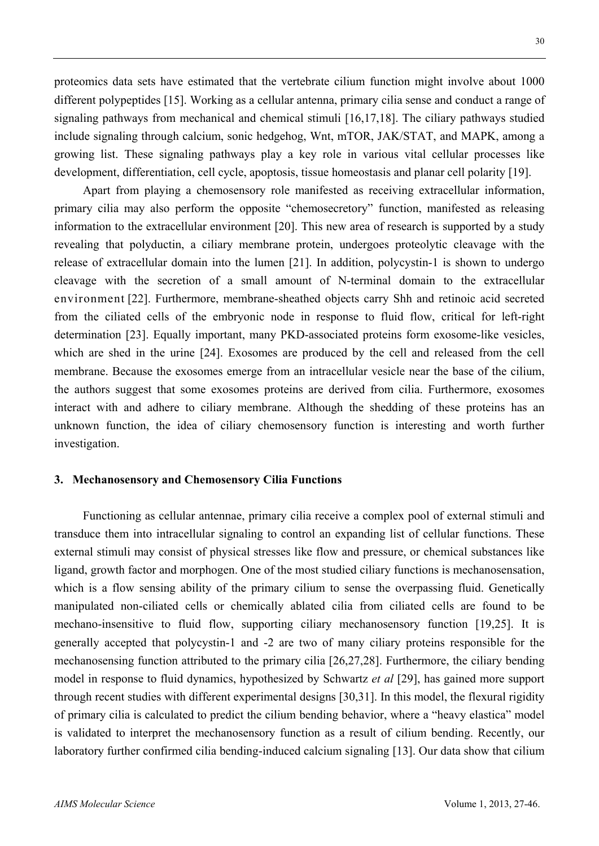proteomics data sets have estimated that the vertebrate cilium function might involve about 1000 different polypeptides [15]. Working as a cellular antenna, primary cilia sense and conduct a range of signaling pathways from mechanical and chemical stimuli [16,17,18]. The ciliary pathways studied include signaling through calcium, sonic hedgehog, Wnt, mTOR, JAK/STAT, and MAPK, among a growing list. These signaling pathways play a key role in various vital cellular processes like development, differentiation, cell cycle, apoptosis, tissue homeostasis and planar cell polarity [19].

Apart from playing a chemosensory role manifested as receiving extracellular information, primary cilia may also perform the opposite "chemosecretory" function, manifested as releasing information to the extracellular environment [20]. This new area of research is supported by a study revealing that polyductin, a ciliary membrane protein, undergoes proteolytic cleavage with the release of extracellular domain into the lumen [21]. In addition, polycystin-1 is shown to undergo cleavage with the secretion of a small amount of N-terminal domain to the extracellular environment [22]. Furthermore, membrane-sheathed objects carry Shh and retinoic acid secreted from the ciliated cells of the embryonic node in response to fluid flow, critical for left-right determination [23]. Equally important, many PKD-associated proteins form exosome-like vesicles, which are shed in the urine [24]. Exosomes are produced by the cell and released from the cell membrane. Because the exosomes emerge from an intracellular vesicle near the base of the cilium, the authors suggest that some exosomes proteins are derived from cilia. Furthermore, exosomes interact with and adhere to ciliary membrane. Although the shedding of these proteins has an unknown function, the idea of ciliary chemosensory function is interesting and worth further investigation.

#### **3. Mechanosensory and Chemosensory Cilia Functions**

Functioning as cellular antennae, primary cilia receive a complex pool of external stimuli and transduce them into intracellular signaling to control an expanding list of cellular functions. These external stimuli may consist of physical stresses like flow and pressure, or chemical substances like ligand, growth factor and morphogen. One of the most studied ciliary functions is mechanosensation, which is a flow sensing ability of the primary cilium to sense the overpassing fluid. Genetically manipulated non-ciliated cells or chemically ablated cilia from ciliated cells are found to be mechano-insensitive to fluid flow, supporting ciliary mechanosensory function [19,25]. It is generally accepted that polycystin-1 and -2 are two of many ciliary proteins responsible for the mechanosensing function attributed to the primary cilia [26,27,28]. Furthermore, the ciliary bending model in response to fluid dynamics, hypothesized by Schwartz *et al* [29], has gained more support through recent studies with different experimental designs [30,31]. In this model, the flexural rigidity of primary cilia is calculated to predict the cilium bending behavior, where a "heavy elastica" model is validated to interpret the mechanosensory function as a result of cilium bending. Recently, our laboratory further confirmed cilia bending-induced calcium signaling [13]. Our data show that cilium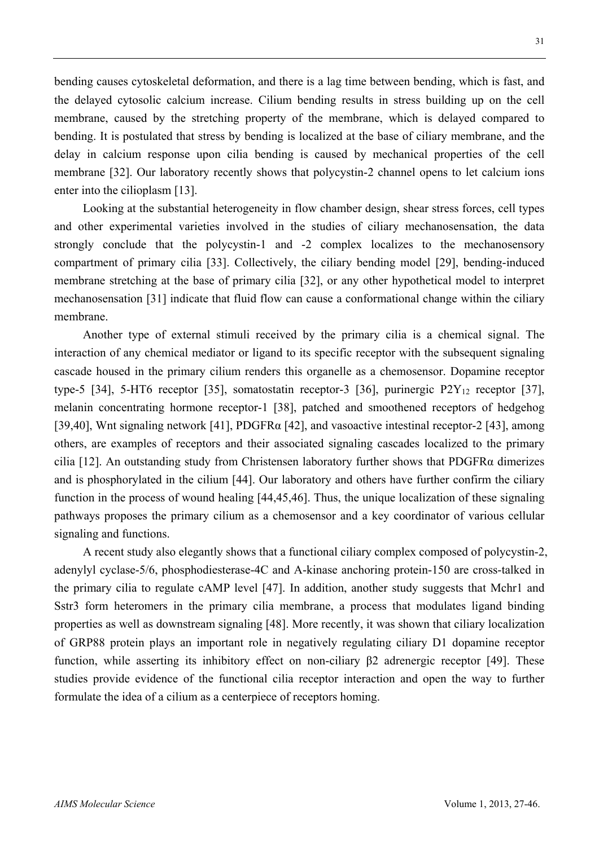bending causes cytoskeletal deformation, and there is a lag time between bending, which is fast, and the delayed cytosolic calcium increase. Cilium bending results in stress building up on the cell membrane, caused by the stretching property of the membrane, which is delayed compared to bending. It is postulated that stress by bending is localized at the base of ciliary membrane, and the delay in calcium response upon cilia bending is caused by mechanical properties of the cell membrane [32]. Our laboratory recently shows that polycystin-2 channel opens to let calcium ions enter into the cilioplasm [13].

Looking at the substantial heterogeneity in flow chamber design, shear stress forces, cell types and other experimental varieties involved in the studies of ciliary mechanosensation, the data strongly conclude that the polycystin-1 and -2 complex localizes to the mechanosensory compartment of primary cilia [33]. Collectively, the ciliary bending model [29], bending-induced membrane stretching at the base of primary cilia [32], or any other hypothetical model to interpret mechanosensation [31] indicate that fluid flow can cause a conformational change within the ciliary membrane.

Another type of external stimuli received by the primary cilia is a chemical signal. The interaction of any chemical mediator or ligand to its specific receptor with the subsequent signaling cascade housed in the primary cilium renders this organelle as a chemosensor. Dopamine receptor type-5 [34], 5-HT6 receptor [35], somatostatin receptor-3 [36], purinergic  $P2Y_{12}$  receptor [37], melanin concentrating hormone receptor-1 [38], patched and smoothened receptors of hedgehog [39,40], Wnt signaling network [41], PDGFR $\alpha$  [42], and vasoactive intestinal receptor-2 [43], among others, are examples of receptors and their associated signaling cascades localized to the primary cilia [12]. An outstanding study from Christensen laboratory further shows that PDGFRα dimerizes and is phosphorylated in the cilium [44]. Our laboratory and others have further confirm the ciliary function in the process of wound healing [44,45,46]. Thus, the unique localization of these signaling pathways proposes the primary cilium as a chemosensor and a key coordinator of various cellular signaling and functions.

A recent study also elegantly shows that a functional ciliary complex composed of polycystin-2, adenylyl cyclase-5/6, phosphodiesterase-4C and A-kinase anchoring protein-150 are cross-talked in the primary cilia to regulate cAMP level [47]. In addition, another study suggests that Mchr1 and Sstr3 form heteromers in the primary cilia membrane, a process that modulates ligand binding properties as well as downstream signaling [48]. More recently, it was shown that ciliary localization of GRP88 protein plays an important role in negatively regulating ciliary D1 dopamine receptor function, while asserting its inhibitory effect on non-ciliary β2 adrenergic receptor [49]. These studies provide evidence of the functional cilia receptor interaction and open the way to further formulate the idea of a cilium as a centerpiece of receptors homing.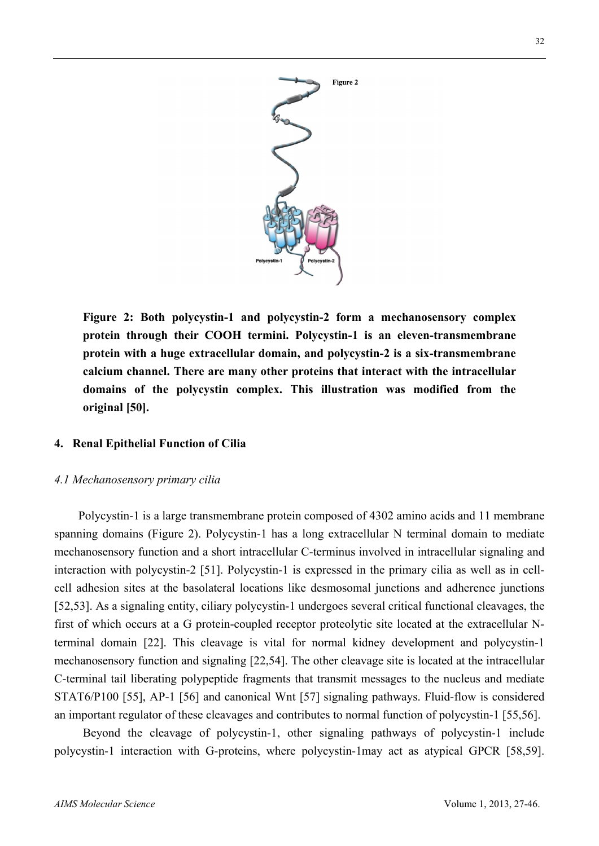

**Figure 2: Both polycystin-1 and polycystin-2 form a mechanosensory complex protein through their COOH termini. Polycystin-1 is an eleven-transmembrane protein with a huge extracellular domain, and polycystin-2 is a six-transmembrane calcium channel. There are many other proteins that interact with the intracellular domains of the polycystin complex. This illustration was modified from the original [50].** 

#### **4. Renal Epithelial Function of Cilia**

#### *4.1 Mechanosensory primary cilia*

Polycystin-1 is a large transmembrane protein composed of 4302 amino acids and 11 membrane spanning domains (Figure 2). Polycystin-1 has a long extracellular N terminal domain to mediate mechanosensory function and a short intracellular C-terminus involved in intracellular signaling and interaction with polycystin-2 [51]. Polycystin-1 is expressed in the primary cilia as well as in cellcell adhesion sites at the basolateral locations like desmosomal junctions and adherence junctions [52,53]. As a signaling entity, ciliary polycystin-1 undergoes several critical functional cleavages, the first of which occurs at a G protein-coupled receptor proteolytic site located at the extracellular Nterminal domain [22]. This cleavage is vital for normal kidney development and polycystin-1 mechanosensory function and signaling [22,54]. The other cleavage site is located at the intracellular C-terminal tail liberating polypeptide fragments that transmit messages to the nucleus and mediate STAT6/P100 [55], AP-1 [56] and canonical Wnt [57] signaling pathways. Fluid-flow is considered an important regulator of these cleavages and contributes to normal function of polycystin-1 [55,56].

Beyond the cleavage of polycystin-1, other signaling pathways of polycystin-1 include polycystin-1 interaction with G-proteins, where polycystin-1may act as atypical GPCR [58,59].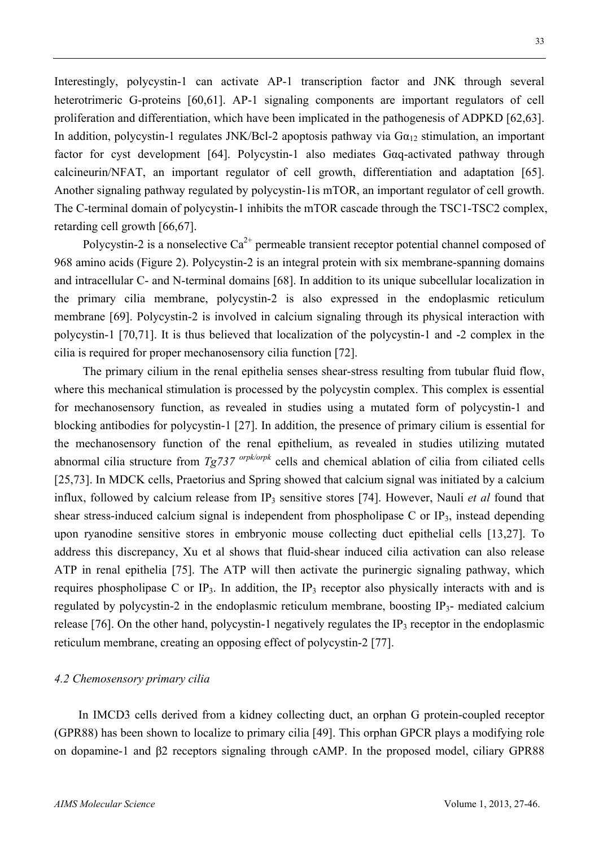Interestingly, polycystin-1 can activate AP-1 transcription factor and JNK through several heterotrimeric G-proteins [60,61]. AP-1 signaling components are important regulators of cell proliferation and differentiation, which have been implicated in the pathogenesis of ADPKD [62,63]. In addition, polycystin-1 regulates JNK/Bcl-2 apoptosis pathway via  $Ga_{12}$  stimulation, an important factor for cyst development [64]. Polycystin-1 also mediates Gαq-activated pathway through calcineurin/NFAT, an important regulator of cell growth, differentiation and adaptation [65]. Another signaling pathway regulated by polycystin-1is mTOR, an important regulator of cell growth. The C-terminal domain of polycystin-1 inhibits the mTOR cascade through the TSC1-TSC2 complex, retarding cell growth [66,67].

Polycystin-2 is a nonselective  $Ca^{2+}$  permeable transient receptor potential channel composed of 968 amino acids (Figure 2). Polycystin-2 is an integral protein with six membrane-spanning domains and intracellular C- and N-terminal domains [68]. In addition to its unique subcellular localization in the primary cilia membrane, polycystin-2 is also expressed in the endoplasmic reticulum membrane [69]. Polycystin-2 is involved in calcium signaling through its physical interaction with polycystin-1 [70,71]. It is thus believed that localization of the polycystin-1 and -2 complex in the cilia is required for proper mechanosensory cilia function [72].

The primary cilium in the renal epithelia senses shear-stress resulting from tubular fluid flow, where this mechanical stimulation is processed by the polycystin complex. This complex is essential for mechanosensory function, as revealed in studies using a mutated form of polycystin-1 and blocking antibodies for polycystin-1 [27]. In addition, the presence of primary cilium is essential for the mechanosensory function of the renal epithelium, as revealed in studies utilizing mutated abnormal cilia structure from *Tg737 orpk/orpk* cells and chemical ablation of cilia from ciliated cells [25,73]. In MDCK cells, Praetorius and Spring showed that calcium signal was initiated by a calcium influx, followed by calcium release from IP<sub>3</sub> sensitive stores [74]. However, Nauli *et al* found that shear stress-induced calcium signal is independent from phospholipase C or IP<sub>3</sub>, instead depending upon ryanodine sensitive stores in embryonic mouse collecting duct epithelial cells [13,27]. To address this discrepancy, Xu et al shows that fluid-shear induced cilia activation can also release ATP in renal epithelia [75]. The ATP will then activate the purinergic signaling pathway, which requires phospholipase C or IP<sub>3</sub>. In addition, the IP<sub>3</sub> receptor also physically interacts with and is regulated by polycystin-2 in the endoplasmic reticulum membrane, boosting  $IP_3$ - mediated calcium release [76]. On the other hand, polycystin-1 negatively regulates the IP<sub>3</sub> receptor in the endoplasmic reticulum membrane, creating an opposing effect of polycystin-2 [77].

#### *4.2 Chemosensory primary cilia*

In IMCD3 cells derived from a kidney collecting duct, an orphan G protein-coupled receptor (GPR88) has been shown to localize to primary cilia [49]. This orphan GPCR plays a modifying role on dopamine-1 and β2 receptors signaling through cAMP. In the proposed model, ciliary GPR88

33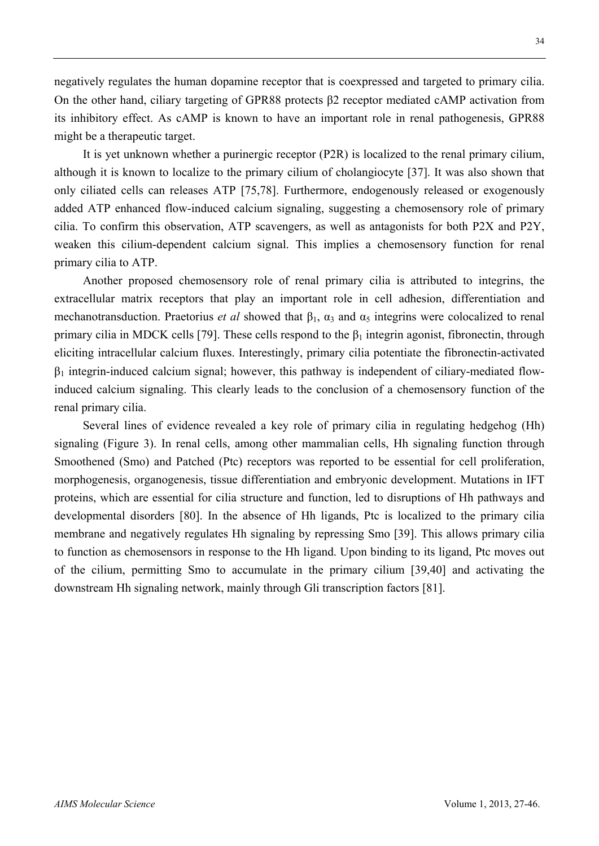negatively regulates the human dopamine receptor that is coexpressed and targeted to primary cilia. On the other hand, ciliary targeting of GPR88 protects β2 receptor mediated cAMP activation from its inhibitory effect. As cAMP is known to have an important role in renal pathogenesis, GPR88 might be a therapeutic target.

It is yet unknown whether a purinergic receptor (P2R) is localized to the renal primary cilium, although it is known to localize to the primary cilium of cholangiocyte [37]. It was also shown that only ciliated cells can releases ATP [75,78]. Furthermore, endogenously released or exogenously added ATP enhanced flow-induced calcium signaling, suggesting a chemosensory role of primary cilia. To confirm this observation, ATP scavengers, as well as antagonists for both P2X and P2Y, weaken this cilium-dependent calcium signal. This implies a chemosensory function for renal primary cilia to ATP.

Another proposed chemosensory role of renal primary cilia is attributed to integrins, the extracellular matrix receptors that play an important role in cell adhesion, differentiation and mechanotransduction. Praetorius *et al* showed that  $\beta_1$ ,  $\alpha_3$  and  $\alpha_5$  integrins were colocalized to renal primary cilia in MDCK cells [79]. These cells respond to the  $\beta_1$  integrin agonist, fibronectin, through eliciting intracellular calcium fluxes. Interestingly, primary cilia potentiate the fibronectin-activated  $\beta_1$  integrin-induced calcium signal; however, this pathway is independent of ciliary-mediated flowinduced calcium signaling. This clearly leads to the conclusion of a chemosensory function of the renal primary cilia.

Several lines of evidence revealed a key role of primary cilia in regulating hedgehog (Hh) signaling (Figure 3). In renal cells, among other mammalian cells, Hh signaling function through Smoothened (Smo) and Patched (Ptc) receptors was reported to be essential for cell proliferation, morphogenesis, organogenesis, tissue differentiation and embryonic development. Mutations in IFT proteins, which are essential for cilia structure and function, led to disruptions of Hh pathways and developmental disorders [80]. In the absence of Hh ligands, Ptc is localized to the primary cilia membrane and negatively regulates Hh signaling by repressing Smo [39]. This allows primary cilia to function as chemosensors in response to the Hh ligand. Upon binding to its ligand, Ptc moves out of the cilium, permitting Smo to accumulate in the primary cilium [39,40] and activating the downstream Hh signaling network, mainly through Gli transcription factors [81].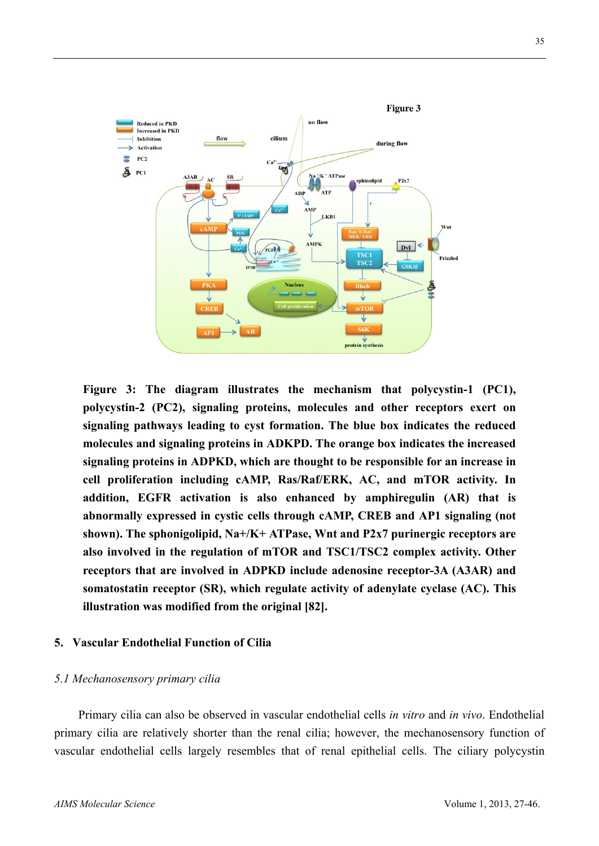

**Figure 3: The diagram illustrates the mechanism that polycystin-1 (PC1), polycystin-2 (PC2), signaling proteins, molecules and other receptors exert on signaling pathways leading to cyst formation. The blue box indicates the reduced molecules and signaling proteins in ADKPD. The orange box indicates the increased signaling proteins in ADPKD, which are thought to be responsible for an increase in cell proliferation including cAMP, Ras/Raf/ERK, AC, and mTOR activity. In addition, EGFR activation is also enhanced by amphiregulin (AR) that is abnormally expressed in cystic cells through cAMP, CREB and AP1 signaling (not shown). The sphonigolipid, Na+/K+ ATPase, Wnt and P2x7 purinergic receptors are also involved in the regulation of mTOR and TSC1/TSC2 complex activity. Other receptors that are involved in ADPKD include adenosine receptor-3A (A3AR) and somatostatin receptor (SR), which regulate activity of adenylate cyclase (AC). This illustration was modified from the original [82].**

#### **5. Vascular Endothelial Function of Cilia**

#### *5.1 Mechanosensory primary cilia*

Primary cilia can also be observed in vascular endothelial cells *in vitro* and *in vivo*. Endothelial primary cilia are relatively shorter than the renal cilia; however, the mechanosensory function of vascular endothelial cells largely resembles that of renal epithelial cells. The ciliary polycystin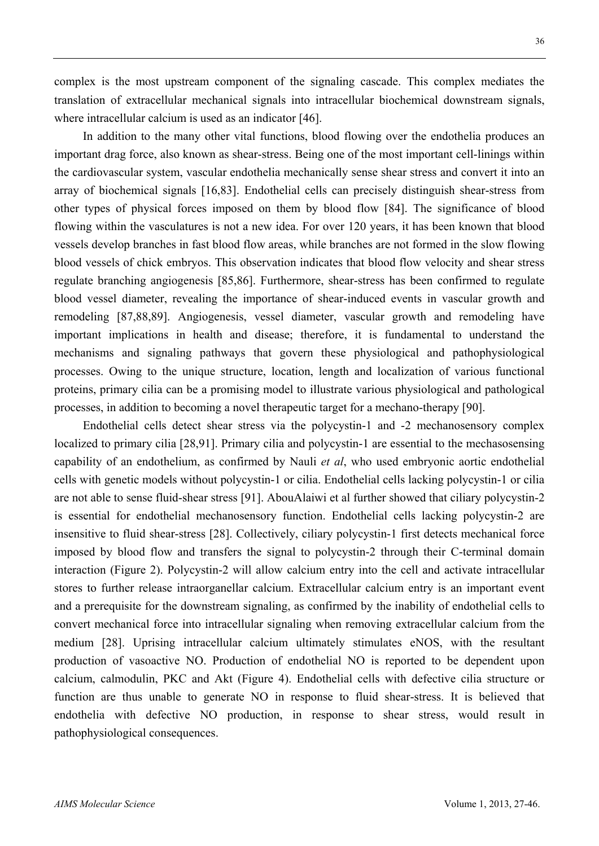flowing within the vasculatures is not a new idea. For over 120 years, it has been known that blood vessels develop branches in fast blood flow areas, while branches are not formed in the slow flowing

where intracellular calcium is used as an indicator [46].

blood vessels of chick embryos. This observation indicates that blood flow velocity and shear stress regulate branching angiogenesis [85,86]. Furthermore, shear-stress has been confirmed to regulate blood vessel diameter, revealing the importance of shear-induced events in vascular growth and remodeling [87,88,89]. Angiogenesis, vessel diameter, vascular growth and remodeling have important implications in health and disease; therefore, it is fundamental to understand the mechanisms and signaling pathways that govern these physiological and pathophysiological processes. Owing to the unique structure, location, length and localization of various functional proteins, primary cilia can be a promising model to illustrate various physiological and pathological processes, in addition to becoming a novel therapeutic target for a mechano-therapy [90].

complex is the most upstream component of the signaling cascade. This complex mediates the translation of extracellular mechanical signals into intracellular biochemical downstream signals,

important drag force, also known as shear-stress. Being one of the most important cell-linings within the cardiovascular system, vascular endothelia mechanically sense shear stress and convert it into an array of biochemical signals [16,83]. Endothelial cells can precisely distinguish shear-stress from other types of physical forces imposed on them by blood flow [84]. The significance of blood

In addition to the many other vital functions, blood flowing over the endothelia produces an

Endothelial cells detect shear stress via the polycystin-1 and -2 mechanosensory complex localized to primary cilia [28,91]. Primary cilia and polycystin-1 are essential to the mechasosensing capability of an endothelium, as confirmed by Nauli *et al*, who used embryonic aortic endothelial cells with genetic models without polycystin-1 or cilia. Endothelial cells lacking polycystin-1 or cilia are not able to sense fluid-shear stress [91]. AbouAlaiwi et al further showed that ciliary polycystin-2 is essential for endothelial mechanosensory function. Endothelial cells lacking polycystin-2 are insensitive to fluid shear-stress [28]. Collectively, ciliary polycystin-1 first detects mechanical force imposed by blood flow and transfers the signal to polycystin-2 through their C-terminal domain interaction (Figure 2). Polycystin-2 will allow calcium entry into the cell and activate intracellular stores to further release intraorganellar calcium. Extracellular calcium entry is an important event and a prerequisite for the downstream signaling, as confirmed by the inability of endothelial cells to convert mechanical force into intracellular signaling when removing extracellular calcium from the medium [28]. Uprising intracellular calcium ultimately stimulates eNOS, with the resultant production of vasoactive NO. Production of endothelial NO is reported to be dependent upon calcium, calmodulin, PKC and Akt (Figure 4). Endothelial cells with defective cilia structure or function are thus unable to generate NO in response to fluid shear-stress. It is believed that endothelia with defective NO production, in response to shear stress, would result in pathophysiological consequences.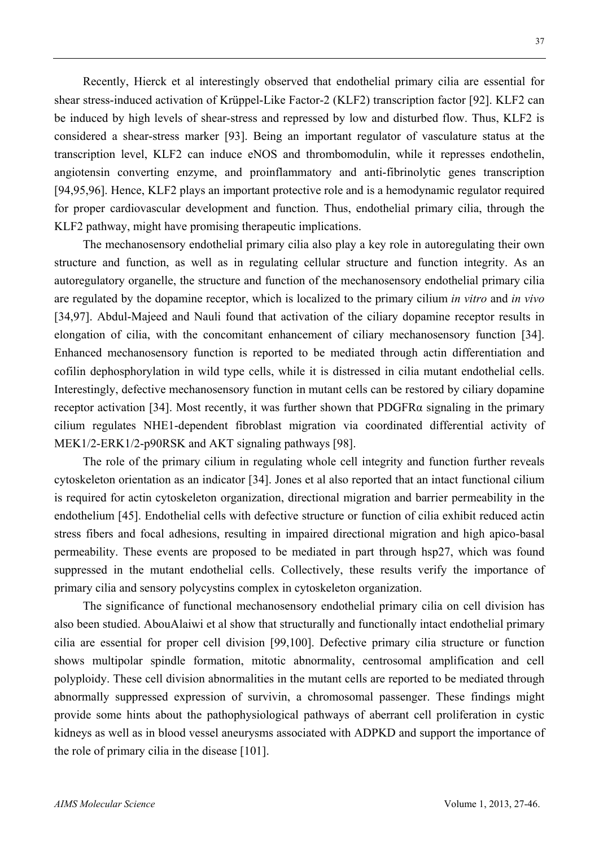Recently, Hierck et al interestingly observed that endothelial primary cilia are essential for shear stress-induced activation of Krüppel-Like Factor-2 (KLF2) transcription factor [92]. KLF2 can be induced by high levels of shear-stress and repressed by low and disturbed flow. Thus, KLF2 is considered a shear-stress marker [93]. Being an important regulator of vasculature status at the transcription level, KLF2 can induce eNOS and thrombomodulin, while it represses endothelin, angiotensin converting enzyme, and proinflammatory and anti-fibrinolytic genes transcription [94,95,96]. Hence, KLF2 plays an important protective role and is a hemodynamic regulator required for proper cardiovascular development and function. Thus, endothelial primary cilia, through the KLF2 pathway, might have promising therapeutic implications.

The mechanosensory endothelial primary cilia also play a key role in autoregulating their own structure and function, as well as in regulating cellular structure and function integrity. As an autoregulatory organelle, the structure and function of the mechanosensory endothelial primary cilia are regulated by the dopamine receptor, which is localized to the primary cilium *in vitro* and *in vivo* [34,97]. Abdul-Majeed and Nauli found that activation of the ciliary dopamine receptor results in elongation of cilia, with the concomitant enhancement of ciliary mechanosensory function [34]. Enhanced mechanosensory function is reported to be mediated through actin differentiation and cofilin dephosphorylation in wild type cells, while it is distressed in cilia mutant endothelial cells. Interestingly, defective mechanosensory function in mutant cells can be restored by ciliary dopamine receptor activation [34]. Most recently, it was further shown that PDGFR $\alpha$  signaling in the primary cilium regulates NHE1-dependent fibroblast migration via coordinated differential activity of MEK1/2-ERK1/2-p90RSK and AKT signaling pathways [98].

The role of the primary cilium in regulating whole cell integrity and function further reveals cytoskeleton orientation as an indicator [34]. Jones et al also reported that an intact functional cilium is required for actin cytoskeleton organization, directional migration and barrier permeability in the endothelium [45]. Endothelial cells with defective structure or function of cilia exhibit reduced actin stress fibers and focal adhesions, resulting in impaired directional migration and high apico-basal permeability. These events are proposed to be mediated in part through hsp27, which was found suppressed in the mutant endothelial cells. Collectively, these results verify the importance of primary cilia and sensory polycystins complex in cytoskeleton organization.

The significance of functional mechanosensory endothelial primary cilia on cell division has also been studied. AbouAlaiwi et al show that structurally and functionally intact endothelial primary cilia are essential for proper cell division [99,100]. Defective primary cilia structure or function shows multipolar spindle formation, mitotic abnormality, centrosomal amplification and cell polyploidy. These cell division abnormalities in the mutant cells are reported to be mediated through abnormally suppressed expression of survivin, a chromosomal passenger. These findings might provide some hints about the pathophysiological pathways of aberrant cell proliferation in cystic kidneys as well as in blood vessel aneurysms associated with ADPKD and support the importance of the role of primary cilia in the disease [101].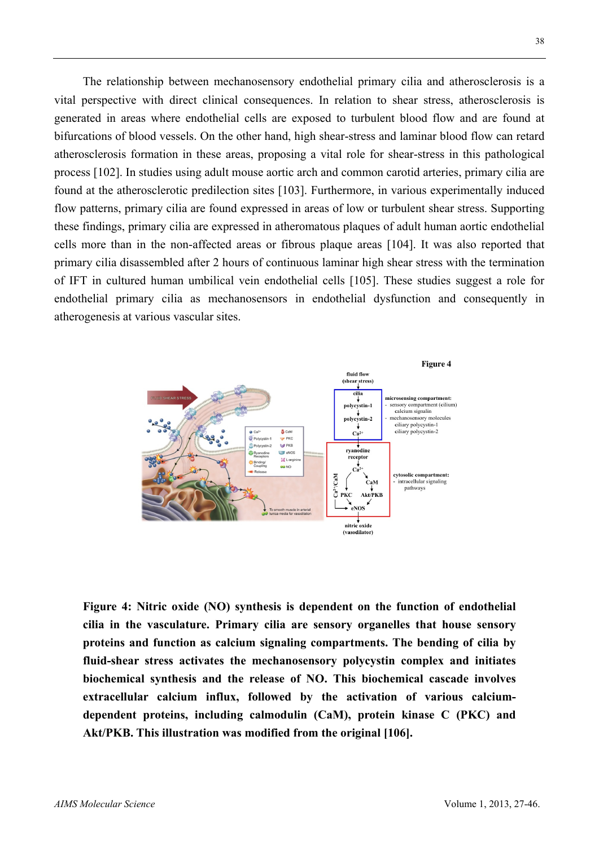The relationship between mechanosensory endothelial primary cilia and atherosclerosis is a vital perspective with direct clinical consequences. In relation to shear stress, atherosclerosis is generated in areas where endothelial cells are exposed to turbulent blood flow and are found at bifurcations of blood vessels. On the other hand, high shear-stress and laminar blood flow can retard atherosclerosis formation in these areas, proposing a vital role for shear-stress in this pathological process [102]. In studies using adult mouse aortic arch and common carotid arteries, primary cilia are found at the atherosclerotic predilection sites [103]. Furthermore, in various experimentally induced flow patterns, primary cilia are found expressed in areas of low or turbulent shear stress. Supporting these findings, primary cilia are expressed in atheromatous plaques of adult human aortic endothelial cells more than in the non-affected areas or fibrous plaque areas [104]. It was also reported that primary cilia disassembled after 2 hours of continuous laminar high shear stress with the termination of IFT in cultured human umbilical vein endothelial cells [105]. These studies suggest a role for endothelial primary cilia as mechanosensors in endothelial dysfunction and consequently in atherogenesis at various vascular sites.



**Figure 4: Nitric oxide (NO) synthesis is dependent on the function of endothelial cilia in the vasculature. Primary cilia are sensory organelles that house sensory proteins and function as calcium signaling compartments. The bending of cilia by fluid-shear stress activates the mechanosensory polycystin complex and initiates biochemical synthesis and the release of NO. This biochemical cascade involves extracellular calcium influx, followed by the activation of various calciumdependent proteins, including calmodulin (CaM), protein kinase C (PKC) and Akt/PKB. This illustration was modified from the original [106].**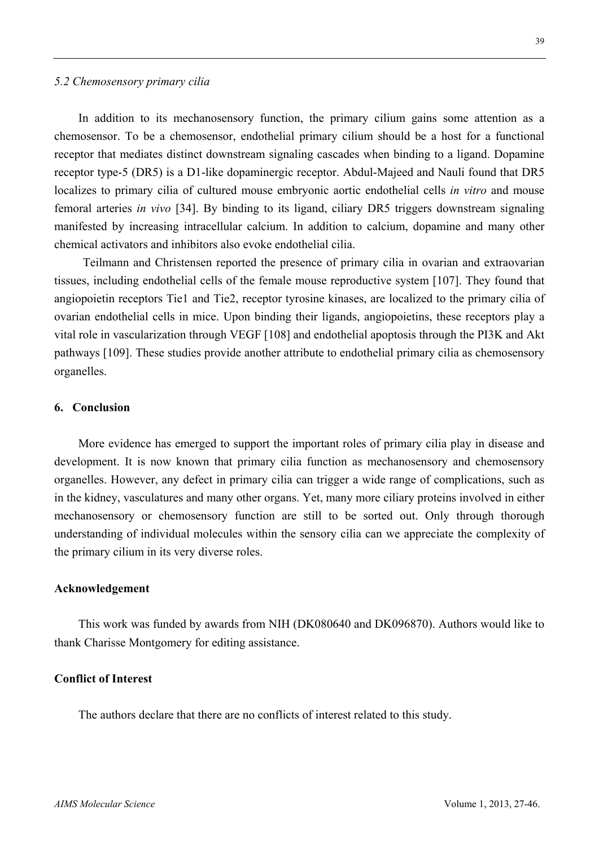#### *5.2 Chemosensory primary cilia*

In addition to its mechanosensory function, the primary cilium gains some attention as a chemosensor. To be a chemosensor, endothelial primary cilium should be a host for a functional receptor that mediates distinct downstream signaling cascades when binding to a ligand. Dopamine receptor type-5 (DR5) is a D1-like dopaminergic receptor. Abdul-Majeed and Nauli found that DR5 localizes to primary cilia of cultured mouse embryonic aortic endothelial cells *in vitro* and mouse femoral arteries *in vivo* [34]. By binding to its ligand, ciliary DR5 triggers downstream signaling manifested by increasing intracellular calcium. In addition to calcium, dopamine and many other chemical activators and inhibitors also evoke endothelial cilia.

Teilmann and Christensen reported the presence of primary cilia in ovarian and extraovarian tissues, including endothelial cells of the female mouse reproductive system [107]. They found that angiopoietin receptors Tie1 and Tie2, receptor tyrosine kinases, are localized to the primary cilia of ovarian endothelial cells in mice. Upon binding their ligands, angiopoietins, these receptors play a vital role in vascularization through VEGF [108] and endothelial apoptosis through the PI3K and Akt pathways [109]. These studies provide another attribute to endothelial primary cilia as chemosensory organelles.

#### **6. Conclusion**

More evidence has emerged to support the important roles of primary cilia play in disease and development. It is now known that primary cilia function as mechanosensory and chemosensory organelles. However, any defect in primary cilia can trigger a wide range of complications, such as in the kidney, vasculatures and many other organs. Yet, many more ciliary proteins involved in either mechanosensory or chemosensory function are still to be sorted out. Only through thorough understanding of individual molecules within the sensory cilia can we appreciate the complexity of the primary cilium in its very diverse roles.

#### **Acknowledgement**

This work was funded by awards from NIH (DK080640 and DK096870). Authors would like to thank Charisse Montgomery for editing assistance.

#### **Conflict of Interest**

The authors declare that there are no conflicts of interest related to this study.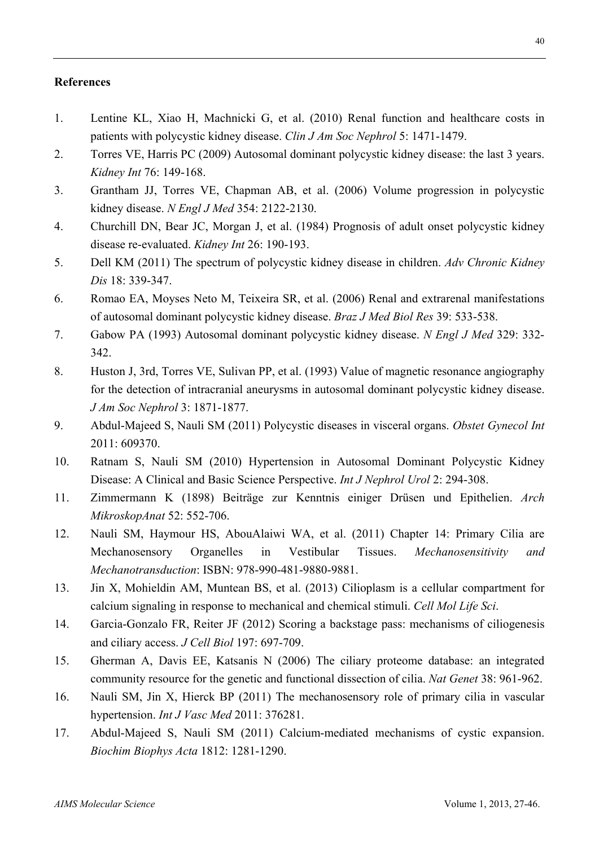#### **References**

- 1. Lentine KL, Xiao H, Machnicki G, et al. (2010) Renal function and healthcare costs in patients with polycystic kidney disease. *Clin J Am Soc Nephrol* 5: 1471-1479.
- 2. Torres VE, Harris PC (2009) Autosomal dominant polycystic kidney disease: the last 3 years. *Kidney Int* 76: 149-168.
- 3. Grantham JJ, Torres VE, Chapman AB, et al. (2006) Volume progression in polycystic kidney disease. *N Engl J Med* 354: 2122-2130.
- 4. Churchill DN, Bear JC, Morgan J, et al. (1984) Prognosis of adult onset polycystic kidney disease re-evaluated. *Kidney Int* 26: 190-193.
- 5. Dell KM (2011) The spectrum of polycystic kidney disease in children. *Adv Chronic Kidney Dis* 18: 339-347.
- 6. Romao EA, Moyses Neto M, Teixeira SR, et al. (2006) Renal and extrarenal manifestations of autosomal dominant polycystic kidney disease. *Braz J Med Biol Res* 39: 533-538.
- 7. Gabow PA (1993) Autosomal dominant polycystic kidney disease. *N Engl J Med* 329: 332- 342.
- 8. Huston J, 3rd, Torres VE, Sulivan PP, et al. (1993) Value of magnetic resonance angiography for the detection of intracranial aneurysms in autosomal dominant polycystic kidney disease. *J Am Soc Nephrol* 3: 1871-1877.
- 9. Abdul-Majeed S, Nauli SM (2011) Polycystic diseases in visceral organs. *Obstet Gynecol Int* 2011: 609370.
- 10. Ratnam S, Nauli SM (2010) Hypertension in Autosomal Dominant Polycystic Kidney Disease: A Clinical and Basic Science Perspective. *Int J Nephrol Urol* 2: 294-308.
- 11. Zimmermann K (1898) Beiträge zur Kenntnis einiger Drüsen und Epithelien. *Arch MikroskopAnat* 52: 552-706.
- 12. Nauli SM, Haymour HS, AbouAlaiwi WA, et al. (2011) Chapter 14: Primary Cilia are Mechanosensory Organelles in Vestibular Tissues. *Mechanosensitivity and Mechanotransduction*: ISBN: 978-990-481-9880-9881.
- 13. Jin X, Mohieldin AM, Muntean BS, et al. (2013) Cilioplasm is a cellular compartment for calcium signaling in response to mechanical and chemical stimuli. *Cell Mol Life Sci*.
- 14. Garcia-Gonzalo FR, Reiter JF (2012) Scoring a backstage pass: mechanisms of ciliogenesis and ciliary access. *J Cell Biol* 197: 697-709.
- 15. Gherman A, Davis EE, Katsanis N (2006) The ciliary proteome database: an integrated community resource for the genetic and functional dissection of cilia. *Nat Genet* 38: 961-962.
- 16. Nauli SM, Jin X, Hierck BP (2011) The mechanosensory role of primary cilia in vascular hypertension. *Int J Vasc Med* 2011: 376281.
- 17. Abdul-Majeed S, Nauli SM (2011) Calcium-mediated mechanisms of cystic expansion. *Biochim Biophys Acta* 1812: 1281-1290.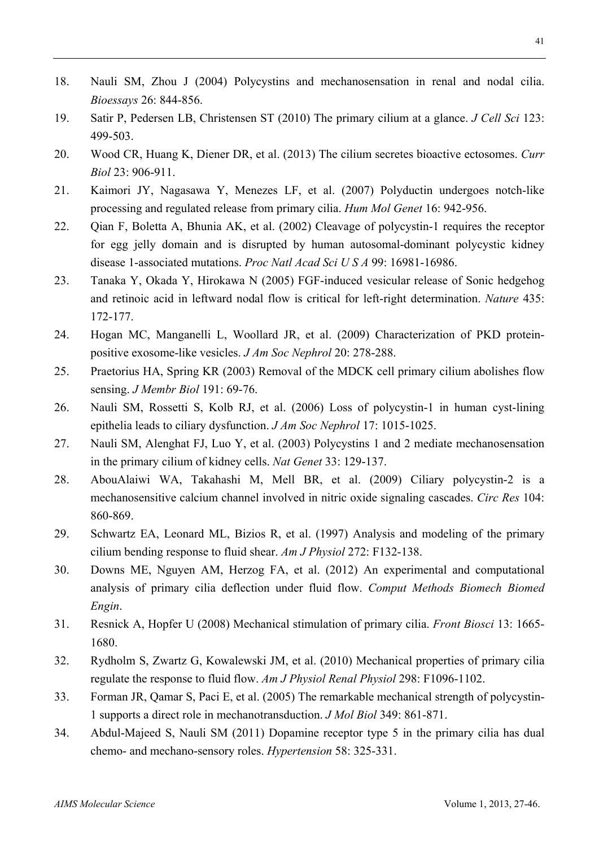- 18. Nauli SM, Zhou J (2004) Polycystins and mechanosensation in renal and nodal cilia. *Bioessays* 26: 844-856.
- 19. Satir P, Pedersen LB, Christensen ST (2010) The primary cilium at a glance. *J Cell Sci* 123: 499-503.
- 20. Wood CR, Huang K, Diener DR, et al. (2013) The cilium secretes bioactive ectosomes. *Curr Biol* 23: 906-911.
- 21. Kaimori JY, Nagasawa Y, Menezes LF, et al. (2007) Polyductin undergoes notch-like processing and regulated release from primary cilia. *Hum Mol Genet* 16: 942-956.
- 22. Qian F, Boletta A, Bhunia AK, et al. (2002) Cleavage of polycystin-1 requires the receptor for egg jelly domain and is disrupted by human autosomal-dominant polycystic kidney disease 1-associated mutations. *Proc Natl Acad Sci U S A* 99: 16981-16986.
- 23. Tanaka Y, Okada Y, Hirokawa N (2005) FGF-induced vesicular release of Sonic hedgehog and retinoic acid in leftward nodal flow is critical for left-right determination. *Nature* 435: 172-177.
- 24. Hogan MC, Manganelli L, Woollard JR, et al. (2009) Characterization of PKD proteinpositive exosome-like vesicles. *J Am Soc Nephrol* 20: 278-288.
- 25. Praetorius HA, Spring KR (2003) Removal of the MDCK cell primary cilium abolishes flow sensing. *J Membr Biol* 191: 69-76.
- 26. Nauli SM, Rossetti S, Kolb RJ, et al. (2006) Loss of polycystin-1 in human cyst-lining epithelia leads to ciliary dysfunction. *J Am Soc Nephrol* 17: 1015-1025.
- 27. Nauli SM, Alenghat FJ, Luo Y, et al. (2003) Polycystins 1 and 2 mediate mechanosensation in the primary cilium of kidney cells. *Nat Genet* 33: 129-137.
- 28. AbouAlaiwi WA, Takahashi M, Mell BR, et al. (2009) Ciliary polycystin-2 is a mechanosensitive calcium channel involved in nitric oxide signaling cascades. *Circ Res* 104: 860-869.
- 29. Schwartz EA, Leonard ML, Bizios R, et al. (1997) Analysis and modeling of the primary cilium bending response to fluid shear. *Am J Physiol* 272: F132-138.
- 30. Downs ME, Nguyen AM, Herzog FA, et al. (2012) An experimental and computational analysis of primary cilia deflection under fluid flow. *Comput Methods Biomech Biomed Engin*.
- 31. Resnick A, Hopfer U (2008) Mechanical stimulation of primary cilia. *Front Biosci* 13: 1665- 1680.
- 32. Rydholm S, Zwartz G, Kowalewski JM, et al. (2010) Mechanical properties of primary cilia regulate the response to fluid flow. *Am J Physiol Renal Physiol* 298: F1096-1102.
- 33. Forman JR, Qamar S, Paci E, et al. (2005) The remarkable mechanical strength of polycystin-1 supports a direct role in mechanotransduction. *J Mol Biol* 349: 861-871.
- 34. Abdul-Majeed S, Nauli SM (2011) Dopamine receptor type 5 in the primary cilia has dual chemo- and mechano-sensory roles. *Hypertension* 58: 325-331.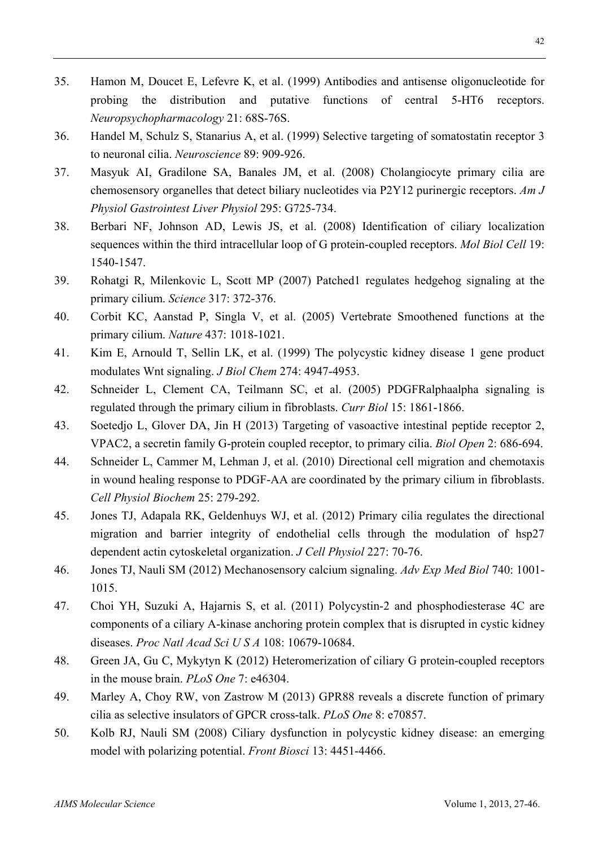- 35. Hamon M, Doucet E, Lefevre K, et al. (1999) Antibodies and antisense oligonucleotide for probing the distribution and putative functions of central 5-HT6 receptors. *Neuropsychopharmacology* 21: 68S-76S.
- 36. Handel M, Schulz S, Stanarius A, et al. (1999) Selective targeting of somatostatin receptor 3 to neuronal cilia. *Neuroscience* 89: 909-926.
- 37. Masyuk AI, Gradilone SA, Banales JM, et al. (2008) Cholangiocyte primary cilia are chemosensory organelles that detect biliary nucleotides via P2Y12 purinergic receptors. *Am J Physiol Gastrointest Liver Physiol* 295: G725-734.
- 38. Berbari NF, Johnson AD, Lewis JS, et al. (2008) Identification of ciliary localization sequences within the third intracellular loop of G protein-coupled receptors. *Mol Biol Cell* 19: 1540-1547.
- 39. Rohatgi R, Milenkovic L, Scott MP (2007) Patched1 regulates hedgehog signaling at the primary cilium. *Science* 317: 372-376.
- 40. Corbit KC, Aanstad P, Singla V, et al. (2005) Vertebrate Smoothened functions at the primary cilium. *Nature* 437: 1018-1021.
- 41. Kim E, Arnould T, Sellin LK, et al. (1999) The polycystic kidney disease 1 gene product modulates Wnt signaling. *J Biol Chem* 274: 4947-4953.
- 42. Schneider L, Clement CA, Teilmann SC, et al. (2005) PDGFRalphaalpha signaling is regulated through the primary cilium in fibroblasts. *Curr Biol* 15: 1861-1866.
- 43. Soetedjo L, Glover DA, Jin H (2013) Targeting of vasoactive intestinal peptide receptor 2, VPAC2, a secretin family G-protein coupled receptor, to primary cilia. *Biol Open* 2: 686-694.
- 44. Schneider L, Cammer M, Lehman J, et al. (2010) Directional cell migration and chemotaxis in wound healing response to PDGF-AA are coordinated by the primary cilium in fibroblasts. *Cell Physiol Biochem* 25: 279-292.
- 45. Jones TJ, Adapala RK, Geldenhuys WJ, et al. (2012) Primary cilia regulates the directional migration and barrier integrity of endothelial cells through the modulation of hsp27 dependent actin cytoskeletal organization. *J Cell Physiol* 227: 70-76.
- 46. Jones TJ, Nauli SM (2012) Mechanosensory calcium signaling. *Adv Exp Med Biol* 740: 1001- 1015.
- 47. Choi YH, Suzuki A, Hajarnis S, et al. (2011) Polycystin-2 and phosphodiesterase 4C are components of a ciliary A-kinase anchoring protein complex that is disrupted in cystic kidney diseases. *Proc Natl Acad Sci U S A* 108: 10679-10684.
- 48. Green JA, Gu C, Mykytyn K (2012) Heteromerization of ciliary G protein-coupled receptors in the mouse brain. *PLoS One* 7: e46304.
- 49. Marley A, Choy RW, von Zastrow M (2013) GPR88 reveals a discrete function of primary cilia as selective insulators of GPCR cross-talk. *PLoS One* 8: e70857.
- 50. Kolb RJ, Nauli SM (2008) Ciliary dysfunction in polycystic kidney disease: an emerging model with polarizing potential. *Front Biosci* 13: 4451-4466.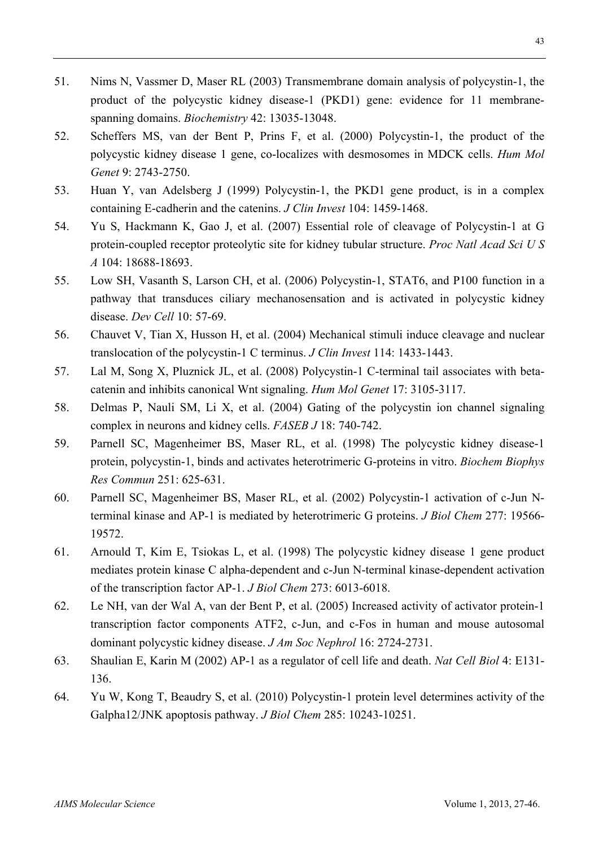- 51. Nims N, Vassmer D, Maser RL (2003) Transmembrane domain analysis of polycystin-1, the product of the polycystic kidney disease-1 (PKD1) gene: evidence for 11 membranespanning domains. *Biochemistry* 42: 13035-13048.
- 52. Scheffers MS, van der Bent P, Prins F, et al. (2000) Polycystin-1, the product of the polycystic kidney disease 1 gene, co-localizes with desmosomes in MDCK cells. *Hum Mol Genet* 9: 2743-2750.
- 53. Huan Y, van Adelsberg J (1999) Polycystin-1, the PKD1 gene product, is in a complex containing E-cadherin and the catenins. *J Clin Invest* 104: 1459-1468.
- 54. Yu S, Hackmann K, Gao J, et al. (2007) Essential role of cleavage of Polycystin-1 at G protein-coupled receptor proteolytic site for kidney tubular structure. *Proc Natl Acad Sci U S A* 104: 18688-18693.
- 55. Low SH, Vasanth S, Larson CH, et al. (2006) Polycystin-1, STAT6, and P100 function in a pathway that transduces ciliary mechanosensation and is activated in polycystic kidney disease. *Dev Cell* 10: 57-69.
- 56. Chauvet V, Tian X, Husson H, et al. (2004) Mechanical stimuli induce cleavage and nuclear translocation of the polycystin-1 C terminus. *J Clin Invest* 114: 1433-1443.
- 57. Lal M, Song X, Pluznick JL, et al. (2008) Polycystin-1 C-terminal tail associates with betacatenin and inhibits canonical Wnt signaling. *Hum Mol Genet* 17: 3105-3117.
- 58. Delmas P, Nauli SM, Li X, et al. (2004) Gating of the polycystin ion channel signaling complex in neurons and kidney cells. *FASEB J* 18: 740-742.
- 59. Parnell SC, Magenheimer BS, Maser RL, et al. (1998) The polycystic kidney disease-1 protein, polycystin-1, binds and activates heterotrimeric G-proteins in vitro. *Biochem Biophys Res Commun* 251: 625-631.
- 60. Parnell SC, Magenheimer BS, Maser RL, et al. (2002) Polycystin-1 activation of c-Jun Nterminal kinase and AP-1 is mediated by heterotrimeric G proteins. *J Biol Chem* 277: 19566- 19572.
- 61. Arnould T, Kim E, Tsiokas L, et al. (1998) The polycystic kidney disease 1 gene product mediates protein kinase C alpha-dependent and c-Jun N-terminal kinase-dependent activation of the transcription factor AP-1. *J Biol Chem* 273: 6013-6018.
- 62. Le NH, van der Wal A, van der Bent P, et al. (2005) Increased activity of activator protein-1 transcription factor components ATF2, c-Jun, and c-Fos in human and mouse autosomal dominant polycystic kidney disease. *J Am Soc Nephrol* 16: 2724-2731.
- 63. Shaulian E, Karin M (2002) AP-1 as a regulator of cell life and death. *Nat Cell Biol* 4: E131- 136.
- 64. Yu W, Kong T, Beaudry S, et al. (2010) Polycystin-1 protein level determines activity of the Galpha12/JNK apoptosis pathway. *J Biol Chem* 285: 10243-10251.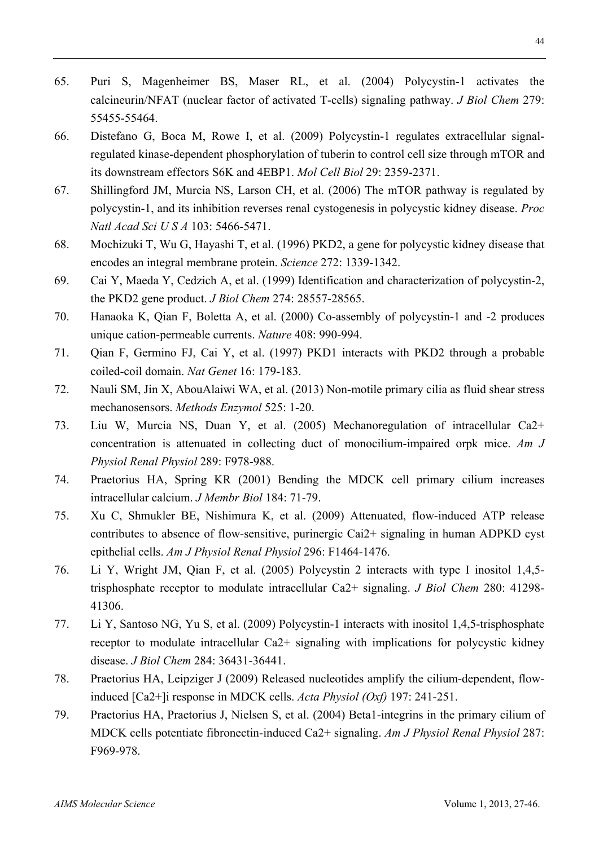- 65. Puri S, Magenheimer BS, Maser RL, et al. (2004) Polycystin-1 activates the calcineurin/NFAT (nuclear factor of activated T-cells) signaling pathway. *J Biol Chem* 279: 55455-55464.
- 66. Distefano G, Boca M, Rowe I, et al. (2009) Polycystin-1 regulates extracellular signalregulated kinase-dependent phosphorylation of tuberin to control cell size through mTOR and its downstream effectors S6K and 4EBP1. *Mol Cell Biol* 29: 2359-2371.
- 67. Shillingford JM, Murcia NS, Larson CH, et al. (2006) The mTOR pathway is regulated by polycystin-1, and its inhibition reverses renal cystogenesis in polycystic kidney disease. *Proc Natl Acad Sci U S A* 103: 5466-5471.
- 68. Mochizuki T, Wu G, Hayashi T, et al. (1996) PKD2, a gene for polycystic kidney disease that encodes an integral membrane protein. *Science* 272: 1339-1342.
- 69. Cai Y, Maeda Y, Cedzich A, et al. (1999) Identification and characterization of polycystin-2, the PKD2 gene product. *J Biol Chem* 274: 28557-28565.
- 70. Hanaoka K, Qian F, Boletta A, et al. (2000) Co-assembly of polycystin-1 and -2 produces unique cation-permeable currents. *Nature* 408: 990-994.
- 71. Qian F, Germino FJ, Cai Y, et al. (1997) PKD1 interacts with PKD2 through a probable coiled-coil domain. *Nat Genet* 16: 179-183.
- 72. Nauli SM, Jin X, AbouAlaiwi WA, et al. (2013) Non-motile primary cilia as fluid shear stress mechanosensors. *Methods Enzymol* 525: 1-20.
- 73. Liu W, Murcia NS, Duan Y, et al. (2005) Mechanoregulation of intracellular Ca2+ concentration is attenuated in collecting duct of monocilium-impaired orpk mice. *Am J Physiol Renal Physiol* 289: F978-988.
- 74. Praetorius HA, Spring KR (2001) Bending the MDCK cell primary cilium increases intracellular calcium. *J Membr Biol* 184: 71-79.
- 75. Xu C, Shmukler BE, Nishimura K, et al. (2009) Attenuated, flow-induced ATP release contributes to absence of flow-sensitive, purinergic Cai2+ signaling in human ADPKD cyst epithelial cells. *Am J Physiol Renal Physiol* 296: F1464-1476.
- 76. Li Y, Wright JM, Qian F, et al. (2005) Polycystin 2 interacts with type I inositol 1,4,5 trisphosphate receptor to modulate intracellular Ca2+ signaling. *J Biol Chem* 280: 41298- 41306.
- 77. Li Y, Santoso NG, Yu S, et al. (2009) Polycystin-1 interacts with inositol 1,4,5-trisphosphate receptor to modulate intracellular Ca2+ signaling with implications for polycystic kidney disease. *J Biol Chem* 284: 36431-36441.
- 78. Praetorius HA, Leipziger J (2009) Released nucleotides amplify the cilium-dependent, flowinduced [Ca2+]i response in MDCK cells. *Acta Physiol (Oxf)* 197: 241-251.
- 79. Praetorius HA, Praetorius J, Nielsen S, et al. (2004) Beta1-integrins in the primary cilium of MDCK cells potentiate fibronectin-induced Ca2+ signaling. *Am J Physiol Renal Physiol* 287: F969-978.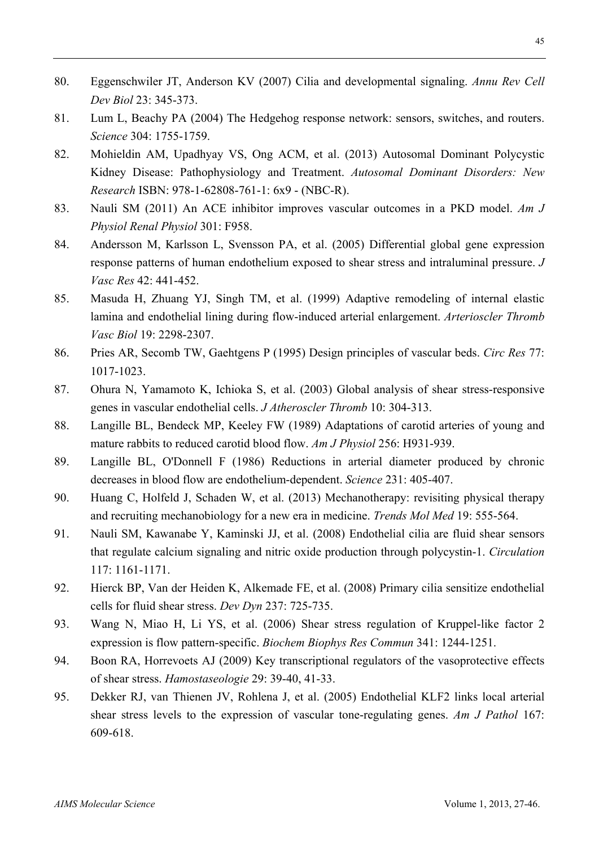- 80. Eggenschwiler JT, Anderson KV (2007) Cilia and developmental signaling. *Annu Rev Cell Dev Biol* 23: 345-373.
- 81. Lum L, Beachy PA (2004) The Hedgehog response network: sensors, switches, and routers. *Science* 304: 1755-1759.
- 82. Mohieldin AM, Upadhyay VS, Ong ACM, et al. (2013) Autosomal Dominant Polycystic Kidney Disease: Pathophysiology and Treatment. *Autosomal Dominant Disorders: New Research* ISBN: 978-1-62808-761-1: 6x9 - (NBC-R).
- 83. Nauli SM (2011) An ACE inhibitor improves vascular outcomes in a PKD model. *Am J Physiol Renal Physiol* 301: F958.
- 84. Andersson M, Karlsson L, Svensson PA, et al. (2005) Differential global gene expression response patterns of human endothelium exposed to shear stress and intraluminal pressure. *J Vasc Res* 42: 441-452.
- 85. Masuda H, Zhuang YJ, Singh TM, et al. (1999) Adaptive remodeling of internal elastic lamina and endothelial lining during flow-induced arterial enlargement. *Arterioscler Thromb Vasc Biol* 19: 2298-2307.
- 86. Pries AR, Secomb TW, Gaehtgens P (1995) Design principles of vascular beds. *Circ Res* 77: 1017-1023.
- 87. Ohura N, Yamamoto K, Ichioka S, et al. (2003) Global analysis of shear stress-responsive genes in vascular endothelial cells. *J Atheroscler Thromb* 10: 304-313.
- 88. Langille BL, Bendeck MP, Keeley FW (1989) Adaptations of carotid arteries of young and mature rabbits to reduced carotid blood flow. *Am J Physiol* 256: H931-939.
- 89. Langille BL, O'Donnell F (1986) Reductions in arterial diameter produced by chronic decreases in blood flow are endothelium-dependent. *Science* 231: 405-407.
- 90. Huang C, Holfeld J, Schaden W, et al. (2013) Mechanotherapy: revisiting physical therapy and recruiting mechanobiology for a new era in medicine. *Trends Mol Med* 19: 555-564.
- 91. Nauli SM, Kawanabe Y, Kaminski JJ, et al. (2008) Endothelial cilia are fluid shear sensors that regulate calcium signaling and nitric oxide production through polycystin-1. *Circulation* 117: 1161-1171.
- 92. Hierck BP, Van der Heiden K, Alkemade FE, et al. (2008) Primary cilia sensitize endothelial cells for fluid shear stress. *Dev Dyn* 237: 725-735.
- 93. Wang N, Miao H, Li YS, et al. (2006) Shear stress regulation of Kruppel-like factor 2 expression is flow pattern-specific. *Biochem Biophys Res Commun* 341: 1244-1251.
- 94. Boon RA, Horrevoets AJ (2009) Key transcriptional regulators of the vasoprotective effects of shear stress. *Hamostaseologie* 29: 39-40, 41-33.
- 95. Dekker RJ, van Thienen JV, Rohlena J, et al. (2005) Endothelial KLF2 links local arterial shear stress levels to the expression of vascular tone-regulating genes. *Am J Pathol* 167: 609-618.